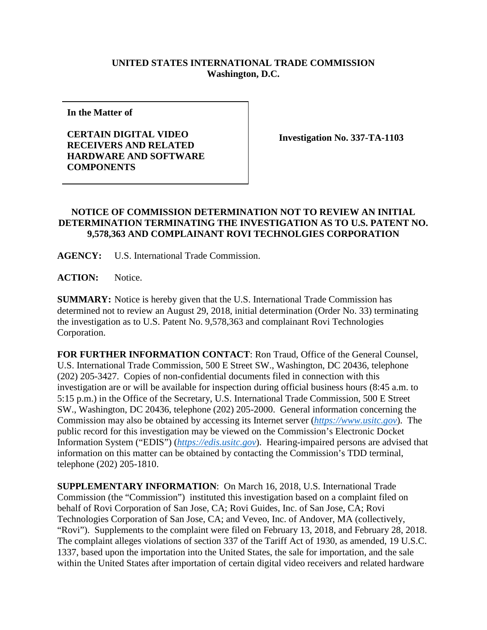## **UNITED STATES INTERNATIONAL TRADE COMMISSION Washington, D.C.**

**In the Matter of**

## **CERTAIN DIGITAL VIDEO RECEIVERS AND RELATED HARDWARE AND SOFTWARE COMPONENTS**

**Investigation No. 337-TA-1103**

## **NOTICE OF COMMISSION DETERMINATION NOT TO REVIEW AN INITIAL DETERMINATION TERMINATING THE INVESTIGATION AS TO U.S. PATENT NO. 9,578,363 AND COMPLAINANT ROVI TECHNOLGIES CORPORATION**

**AGENCY:** U.S. International Trade Commission.

**ACTION:** Notice.

**SUMMARY:** Notice is hereby given that the U.S. International Trade Commission has determined not to review an August 29, 2018, initial determination (Order No. 33) terminating the investigation as to U.S. Patent No. 9,578,363 and complainant Rovi Technologies Corporation.

**FOR FURTHER INFORMATION CONTACT**: Ron Traud, Office of the General Counsel, U.S. International Trade Commission, 500 E Street SW., Washington, DC 20436, telephone (202) 205-3427. Copies of non-confidential documents filed in connection with this investigation are or will be available for inspection during official business hours (8:45 a.m. to 5:15 p.m.) in the Office of the Secretary, U.S. International Trade Commission, 500 E Street SW., Washington, DC 20436, telephone (202) 205-2000. General information concerning the Commission may also be obtained by accessing its Internet server (*[https://www.usitc.gov](https://www.usitc.gov/)*). The public record for this investigation may be viewed on the Commission's Electronic Docket Information System ("EDIS") (*[https://edis.usitc.gov](https://edis.usitc.gov/)*). Hearing-impaired persons are advised that information on this matter can be obtained by contacting the Commission's TDD terminal, telephone (202) 205-1810.

**SUPPLEMENTARY INFORMATION**: On March 16, 2018, U.S. International Trade Commission (the "Commission") instituted this investigation based on a complaint filed on behalf of Rovi Corporation of San Jose, CA; Rovi Guides, Inc. of San Jose, CA; Rovi Technologies Corporation of San Jose, CA; and Veveo, Inc. of Andover, MA (collectively, "Rovi"). Supplements to the complaint were filed on February 13, 2018, and February 28, 2018. The complaint alleges violations of section 337 of the Tariff Act of 1930, as amended, 19 U.S.C. 1337, based upon the importation into the United States, the sale for importation, and the sale within the United States after importation of certain digital video receivers and related hardware